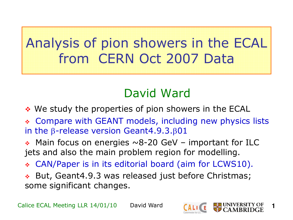# Analysis of pion showers in the ECAL from CERN Oct 2007 Data

## David Ward

- $\div$  We study the properties of pion showers in the ECAL
- \* Compare with GEANT models, including new physics lists in the β-release version Geant4.9.3.β01
- $\cdot$  Main focus on energies ~8-20 GeV important for ILC jets and also the main problem region for modelling.
- \* CAN/Paper is in its editorial board (aim for LCWS10).
- ◆ But, Geant4.9.3 was released just before Christmas; some significant changes.

Calice ECAL Meeting LLR 14/01/10 David Ward **1**

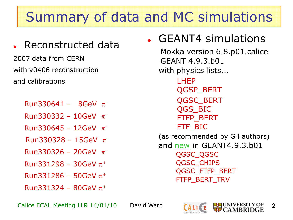# Summary of data and MC simulations

#### <sup>l</sup> Reconstructed data

2007 data from CERN with v0406 reconstruction and calibrations

- Run330641  $8 GeV \pi$
- Run330332 10GeV  $\pi^-$
- Run330645 12GeV  $\pi^-$
- Run330328 15GeV  $\pi^-$
- Run330326 20GeV  $\pi^-$
- Run331298 30GeV  $\pi^+$
- Run331286 50GeV  $\pi^+$
- Run331324 80GeV  $\pi^+$

• GEANT4 simulations Mokka version 6.8.p01.calice GEANT 4.9.3.b01 with physics lists... LHEP QGSP\_BERT QGSC\_BERT QGS\_BIC FTFP\_BERT FTF\_BIC (as recommended by G4 authors) and new in GEANT4.9.3.b01 QGSC\_QGSC QGSC\_CHIPS QGSC\_FTFP\_BERT FTFP\_BERT\_TRV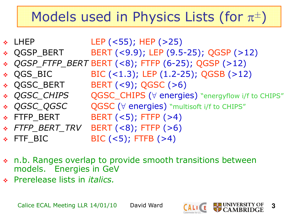# Models used in Physics Lists (for  $\pi^{\pm}$ )

- v LHEP LEP (<55); HEP (>25) v QGSP\_BERT BERT (<9.9); LEP (9.5-25); QGSP (>12) <sup>v</sup> *QGSP\_FTFP\_BERT* BERT (<8); FTFP (6-25); QGSP (>12) QGS\_BIC BIC (<1.3); LEP (1.2-25); QGSB (>12) QGSC\_BERT BERT (<9); QGSC (>6) QGSC\_CHIPS QGSC\_CHIPS (∀ energies) "energyflow i/f to CHIPS" QGSC\_QGSC QGSC (∀ energies) "multisoft i/f to CHIPS"  $\cdot$  FTFP\_BERT BERT (<5); FTFP (>4) <sup>v</sup> *FTFP\_BERT\_TRV* BERT (<8); FTFP (>6)  $\div$  FTF\_BIC BIC (<5); FTFB (>4)
- \* n.b. Ranges overlap to provide smooth transitions between models. Energies in GeV
- <sup>v</sup> Prerelease lists in *italics.*

Calice ECAL Meeting LLR 14/01/10 David Ward **3 ALL CONDUCTS 3** 

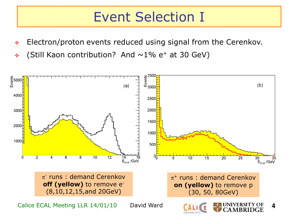# Event Selection I

- $\div$  Electron/proton events reduced using signal from the Cerenkov.
- $\div$  (Still Kaon contribution? And  $\sim$ 1% e<sup>+</sup> at 30 GeV)

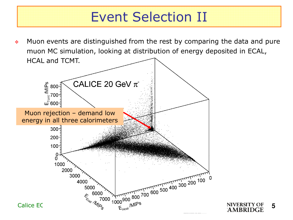# Event Selection II

 $\cdot$  Muon events are distinguished from the rest by comparing the data and pure muon MC simulation, looking at distribution of energy deposited in ECAL, HCAL and TCMT.



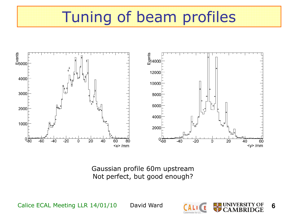# Tuning of beam profiles



#### Gaussian profile 60m upstream Not perfect, but good enough?

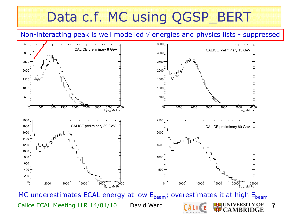# Data c.f. MC using QGSP\_BERT

Non-interacting peak is well modelled  $\forall$  energies and physics lists - suppressed



Calice ECAL Meeting LLR 14/01/10 David Ward **CALICE WARRINGE 7** MC underestimates ECAL energy at low  $E_{beam}$ ; overestimates it at high  $E_{beam}$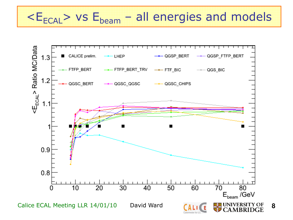# $\leq E_{\text{ECAL}}$  vs  $E_{\text{beam}}$  – all energies and models

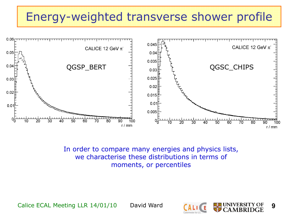## Energy-weighted transverse shower profile



In order to compare many energies and physics lists, we characterise these distributions in terms of moments, or percentiles

Calice ECAL Meeting LLR 14/01/10 David Ward **6 ALL CALICE BLOCK AND PROVIDENCE** 9

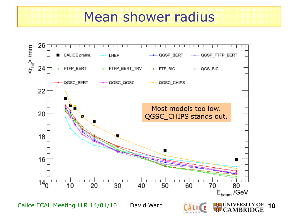## Mean shower radius

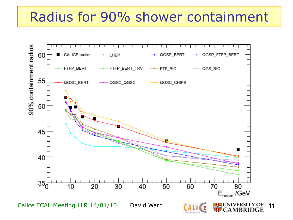# Radius for 90% shower containment

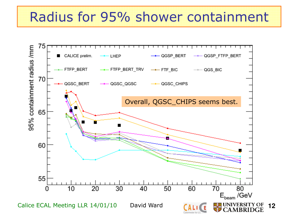# Radius for 95% shower containment

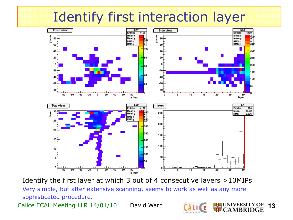# Identify first interaction layer



Identify the first layer at which 3 out of 4 consecutive layers >10MIPs Very simple, but after extensive scanning, seems to work as well as any more sophisticated procedure.

Calice ECAL Meeting LLR 14/01/10 David Ward **14/01/10** David Ward **14/01/1** 

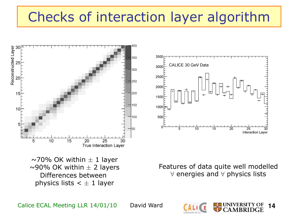# Checks of interaction layer algorithm



 $\sim$ 70% OK within  $\pm$  1 layer  $\sim$ 90% OK within  $\pm$  2 layers Differences between physics lists  $< \pm 1$  layer

3500 CALICE 30 GeV Data 3000 2500 2000 **1500**  $1000$ 500 10 15 20 25 Interaction Layer

Features of data quite well modelled ∀ energies and ∀ physics lists

Calice ECAL Meeting LLR 14/01/10 David Ward **14** David Ward **14** David Ward **14** David Ward 14

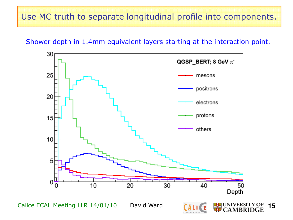#### Use MC truth to separate longitudinal profile into components.

#### Shower depth in 1.4mm equivalent layers starting at the interaction point.



Calice ECAL Meeting LLR 14/01/10 David Ward **15** David Ward **15** 

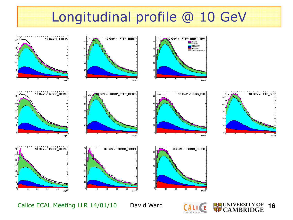# Longitudinal profile @ 10 GeV





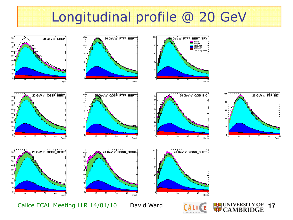# Longitudinal profile @ 20 GeV



Calice ECAL Meeting LLR 14/01/10 David Ward **CALICE WORKING BUNIVERSITY OF 17** 

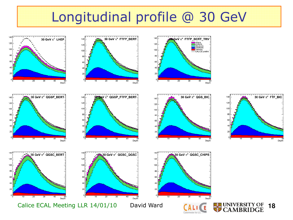## Longitudinal profile @ 30 GeV

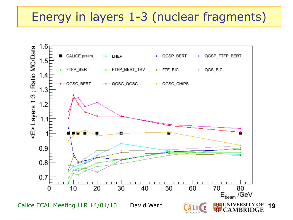#### Energy in layers 1-3 (nuclear fragments)

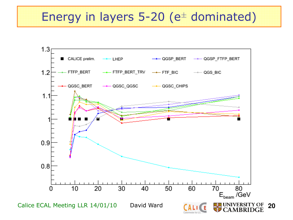#### Energy in layers  $5-20$  ( $e^{\pm}$  dominated)

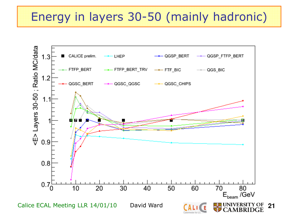#### Energy in layers 30-50 (mainly hadronic)

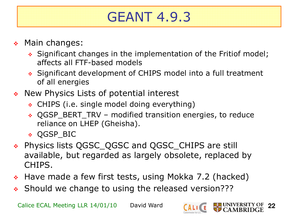# GEANT 4.9.3

- $\div$  Main changes:
	- $\cdot$  Significant changes in the implementation of the Fritiof model; affects all FTF-based models
	- Significant development of CHIPS model into a full treatment of all energies
- \* New Physics Lists of potential interest
	- $\div$  CHIPS (i.e. single model doing everything)
	- <sup>v</sup> QGSP\_BERT\_TRV modified transition energies, to reduce reliance on LHEP (Gheisha).
	- <sup>v</sup> QGSP\_BIC
- \* Physics lists QGSC\_QGSC and QGSC\_CHIPS are still available, but regarded as largely obsolete, replaced by CHIPS.
- \* Have made a few first tests, using Mokka 7.2 (hacked)
- Should we change to using the released version???

Calice ECAL Meeting LLR 14/01/10 David Ward

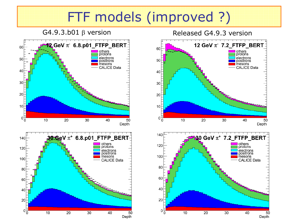# FTF models (improved ?)

#### G4.9.3.b01 β version Released G4.9.3 version GeV  $\pi$  6.8.p01\_FTFP\_BERT 60 others<br>protons electrons<br>positrons<br>mesons 50 **CALICE Data**  $40<sup>1</sup>$ 30  $20<sup>1</sup>$  $10<sup>1</sup>$  $0_0^{\text{III}}$  $\overline{20}$  $\overline{30}$ 10 40 50 Depth



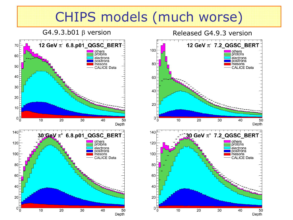# CHIPS models (much worse)

#### 12 GeV π 6.8.p01\_QGSC\_BERT l others<br>I protons electrons<br>positrons mesons

70

60





#### G4.9.3.b01 β version Released G4.9.3 version

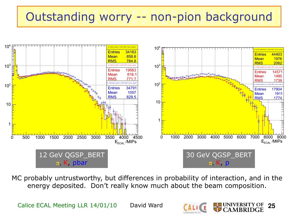### Outstanding worry -- non-pion background



MC probably untrustworthy, but differences in probability of interaction, and in the energy deposited. Don't really know much about the beam composition.

Calice ECAL Meeting LLR 14/01/10 David Ward **CALICE WORKERSITY OF 25** 

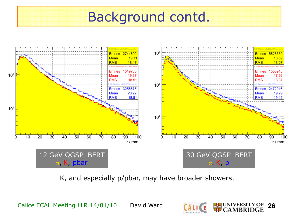# Background contd.



K, and especially p/pbar, may have broader showers.

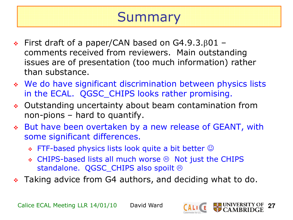# Summary

- $\div$  First draft of a paper/CAN based on G4.9.3.β01 comments received from reviewers. Main outstanding issues are of presentation (too much information) rather than substance.
- \* We do have significant discrimination between physics lists in the ECAL. QGSC\_CHIPS looks rather promising.
- $\cdot$  Outstanding uncertainty about beam contamination from non-pions – hard to quantify.
- ◆ But have been overtaken by a new release of GEANT, with some significant differences.
	- $\bullet$  FTF-based physics lists look quite a bit better  $\odot$
	- $\div$  CHIPS-based lists all much worse  $\odot$  Not just the CHIPS standalone. QGSC\_CHIPS also spoilt  $\odot$
- $\cdot$  Taking advice from G4 authors, and deciding what to do.

Calice ECAL Meeting LLR 14/01/10 David Ward **CALL CE BLOCK UNIVERSITY OF 27** 

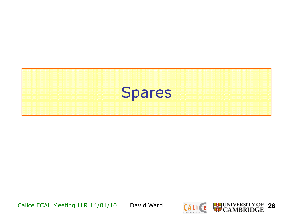

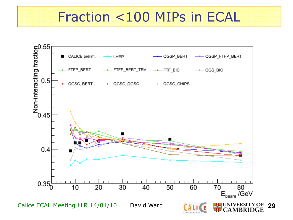# Fraction <100 MIPs in ECAL

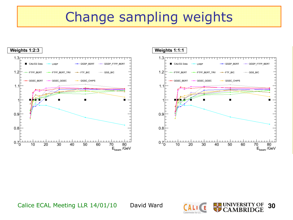# Change sampling weights



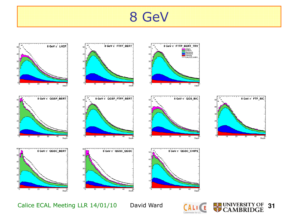#### 8 GeV



Calice ECAL Meeting LLR 14/01/10 David Ward **CALICE WORKING BY CAMBRIDGE 31** 

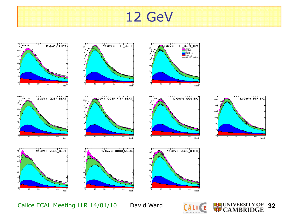### 12 GeV



Calice ECAL Meeting LLR 14/01/10 David Ward **CALICE WORKING BY CAMBRIDGE** 32